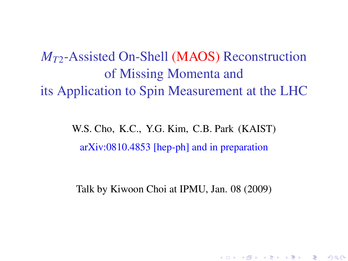*M<sup>T</sup>*2-Assisted On-Shell (MAOS) Reconstruction of Missing Momenta and its Application to Spin Measurement at the LHC

> W.S. Cho, K.C., Y.G. Kim, C.B. Park (KAIST) arXiv:0810.4853 [hep-ph] and in preparation

Talk by Kiwoon Choi at IPMU, Jan. 08 (2009)

K ロ ▶ K @ ▶ K 할 ▶ K 할 ▶ ① 할 → ① 익C\*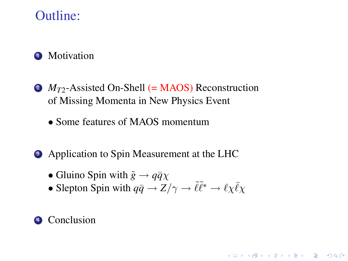## Outline:

### **1** Motivation

- 2 *M*<sub>T2</sub>-Assisted On-Shell (= MAOS) Reconstruction of Missing Momenta in New Physics Event
	- Some features of MAOS momentum
- Application to Spin Measurement at the LHC
	- Gluino Spin with  $\tilde{g} \rightarrow q\bar{q}\chi$
	- Slepton Spin with  $q\bar{q} \to Z/\gamma \to \tilde{\ell} \tilde{\ell}^* \to \ell \chi \bar{\ell} \chi$

**K ロ K K (日 K K B K X B K X B K K K K G K C K** 

#### <sup>4</sup> Conclusion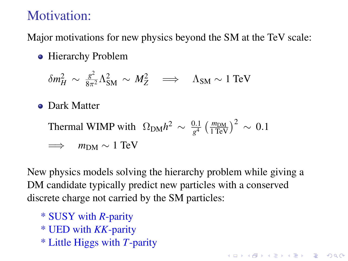# Motivation:

Major motivations for new physics beyond the SM at the TeV scale:

• Hierarchy Problem

$$
\delta m_H^2 \sim \frac{g^2}{8\pi^2} \Lambda_{\rm SM}^2 \sim M_Z^2 \quad \Longrightarrow \quad \Lambda_{\rm SM} \sim 1 \text{ TeV}
$$

**• Dark Matter** 

Thermal WIMP with 
$$
\Omega_{\text{DM}} h^2 \sim \frac{0.1}{g^4} \left( \frac{m_{\text{DM}}}{1 \text{ TeV}} \right)^2 \sim 0.1
$$

\n $\implies m_{\text{DM}} \sim 1 \text{ TeV}$ 

New physics models solving the hierarchy problem while giving a DM candidate typically predict new particles with a conserved discrete charge not carried by the SM particles:

**K ロ K K (日 K K B K X B K X B K K K K G K C K** 

- \* SUSY with *R*-parity
- \* UED with *KK*-parity
- \* Little Higgs with *T*-parity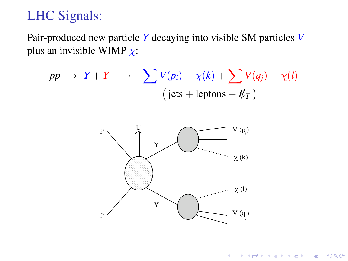# LHC Signals:

Pair-produced new particle *Y* decaying into visible SM particles *V* plus an invisible WIMP  $\chi$ :

$$
pp \rightarrow Y + \bar{Y} \rightarrow \sum V(p_i) + \chi(k) + \sum V(q_j) + \chi(l)
$$
  
(jets + leptons +  $\not{E_T}$ )



K ロ X K @ X K 할 X X 할 X : 할 X Y Q Q @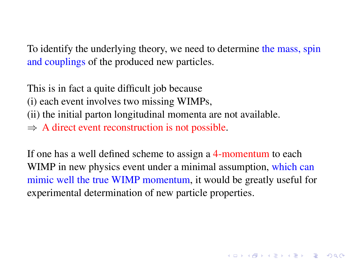To identify the underlying theory, we need to determine the mass, spin and couplings of the produced new particles.

This is in fact a quite difficult job because

(i) each event involves two missing WIMPs,

(ii) the initial parton longitudinal momenta are not available.

 $\Rightarrow$  A direct event reconstruction is not possible.

If one has a well defined scheme to assign a 4-momentum to each WIMP in new physics event under a minimal assumption, which can mimic well the true WIMP momentum, it would be greatly useful for experimental determination of new particle properties.

**A O A G A 4 O A C A G A 4 O A 4 O A C A**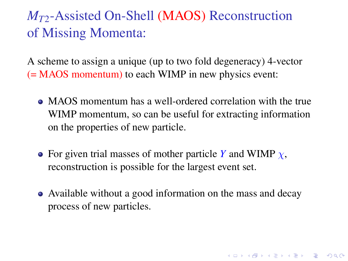# *M<sup>T</sup>*2-Assisted On-Shell (MAOS) Reconstruction of Missing Momenta:

A scheme to assign a unique (up to two fold degeneracy) 4-vector (= MAOS momentum) to each WIMP in new physics event:

- MAOS momentum has a well-ordered correlation with the true WIMP momentum, so can be useful for extracting information on the properties of new particle.
- For given trial masses of mother particle *Y* and WIMP  $\chi$ , reconstruction is possible for the largest event set.
- Available without a good information on the mass and decay process of new particles.

**K ロ K K (日 K K B K X B K X B K K K K G K C K**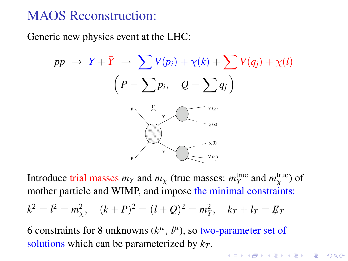## MAOS Reconstruction:

Generic new physics event at the LHC:

$$
pp \rightarrow Y + \bar{Y} \rightarrow \sum V(p_i) + \chi(k) + \sum V(q_j) + \chi(l)
$$
\n
$$
\left(P = \sum p_i, \quad Q = \sum q_j\right)
$$
\n
$$
\sum_{\chi(\mathbf{0})} \sum_{\chi(\mathbf{0})} \chi(\mathbf{0})
$$

Introduce trial masses  $m_Y$  and  $m_\chi$  (true masses:  $m_Y^{\text{true}}$  and  $m_\chi^{\text{true}}$ ) of mother particle and WIMP, and impose the minimal constraints:

$$
k^2 = l^2 = m_{\chi}^2
$$
,  $(k+P)^2 = (l+Q)^2 = m_Y^2$ ,  $k_T + l_T = \not{E}_T$ 

6 constraints for 8 unknowns  $(k^{\mu}, l^{\mu})$ , so two-parameter set of solutions which can be parameterized by *k<sup>T</sup>* .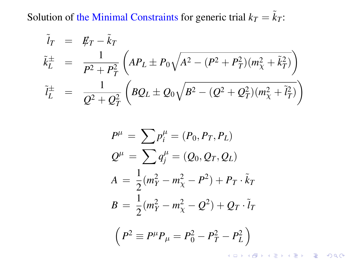Solution of the Minimal Constraints for generic trial  $k_T = \tilde{k}_T$ :

$$
\tilde{l}_T = \not{E}_T - \tilde{k}_T
$$
\n
$$
\tilde{k}_L^{\pm} = \frac{1}{P^2 + P_T^2} \left( AP_L \pm P_0 \sqrt{A^2 - (P^2 + P_T^2)(m_X^2 + \tilde{k}_T^2)} \right)
$$
\n
$$
\tilde{l}_L^{\pm} = \frac{1}{Q^2 + Q_T^2} \left( BQ_L \pm Q_0 \sqrt{B^2 - (Q^2 + Q_T^2)(m_X^2 + \tilde{l}_T^2)} \right)
$$

$$
P^{\mu} = \sum p_i^{\mu} = (P_0, P_T, P_L)
$$
  
\n
$$
Q^{\mu} = \sum q_j^{\mu} = (Q_0, Q_T, Q_L)
$$
  
\n
$$
A = \frac{1}{2}(m_Y^2 - m_X^2 - P^2) + P_T \cdot \tilde{k}_T
$$
  
\n
$$
B = \frac{1}{2}(m_Y^2 - m_X^2 - Q^2) + Q_T \cdot \tilde{l}_T
$$
  
\n
$$
(P^2 = P^{\mu}P - P^2 - P^2 - P^2)
$$

$$
\left(P^2 \equiv P^\mu P_\mu = P_0^2 - P_T^2 - P_L^2\right)
$$

KO KK@ KK 4 B KK 3 4 D K V D K V D K V D A C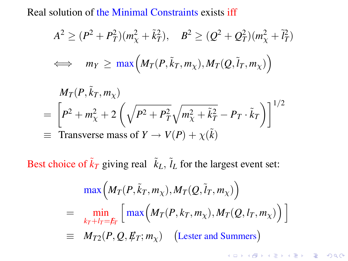Real solution of the Minimal Constraints exists iff

$$
A2 \ge (P2 + PT2)(mX2 + \tilde{k}T2), \quad B2 \ge (Q2 + QT2)(mX2 + \tilde{l}T2)
$$
  

$$
\iff mY \ge mX \left(MT(P, \tilde{k}T, mX), MT(Q, \tilde{l}T, mX)\right)
$$

$$
M_T(P, \tilde{k}_T, m_\chi)
$$
  
=  $\left[ P^2 + m_\chi^2 + 2 \left( \sqrt{P^2 + P_T^2} \sqrt{m_\chi^2 + \tilde{k}_T^2} - P_T \cdot \tilde{k}_T \right) \right]^{1/2}$   
= Transverse mass of  $Y \rightarrow V(P) + \chi(\tilde{k})$ 

Best choice of  $\tilde{k}_T$  giving real  $\tilde{k}_L$ ,  $\tilde{l}_L$  for the largest event set:

$$
\begin{aligned}\n&\max\Big(M_T(P,\tilde{k}_T,m_\chi),M_T(Q,\tilde{l}_T,m_\chi)\Big) \\
&= \min_{k_T+l_T=f_T}\Big[\max\Big(M_T(P,k_T,m_\chi),M_T(Q,l_T,m_\chi)\Big)\Big] \\
&\equiv M_{T2}(P,Q,\not\!E_T;m_\chi)\quad\text{(Lester and Summers)}\n\end{aligned}
$$

KO KK@ KK EXK EXK EX YOUR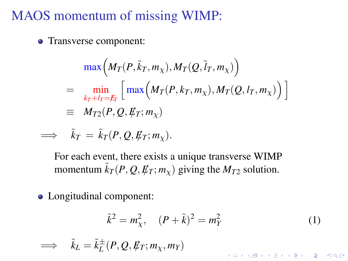## MAOS momentum of missing WIMP:

• Transverse component:

$$
\begin{aligned}\n&\max\Big(M_T(P,\tilde{k}_T,m_\chi),M_T(Q,\tilde{l}_T,m_\chi)\Big) \\
&=\min_{k_T+l_T=f_T}\Big[\max\Big(M_T(P,k_T,m_\chi),M_T(Q,l_T,m_\chi)\Big)\Big] \\
&\equiv M_{T2}(P,Q,\cancel{E}_T;m_\chi)\n\end{aligned}
$$

$$
\Longrightarrow \tilde{k}_T = \tilde{k}_T(P, Q, \rlap{\,/}E_T; m_\chi).
$$

For each event, there exists a unique transverse WIMP momentum  $\tilde{k}_T(P, Q, E_T; m_\nu)$  giving the  $M_{T2}$  solution.

Longitudinal component:

$$
\tilde{k}^2 = m_{\chi}^2, \quad (P + \tilde{k})^2 = m_Y^2 \tag{1}
$$

**K ロ K K (日 K K B K X B K X B K K K K G K C K** 

$$
\implies \tilde{k}_L = \tilde{k}_L^{\pm}(P, Q, \not\!\!E_T; m_\chi, m_Y)
$$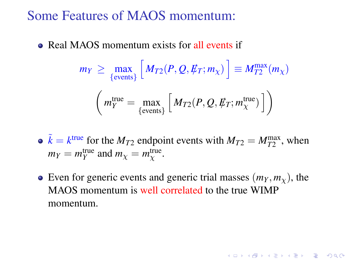Some Features of MAOS momentum:

• Real MAOS momentum exists for all events if

$$
m_Y \ge \max_{\{\text{events}\}} \left[ M_{T2}(P, Q, \not\!\!E_T; m_\chi) \right] \equiv M_{T2}^{\max}(m_\chi)
$$

$$
\left( m_Y^{\text{true}} = \max_{\{\text{events}\}} \left[ M_{T2}(P, Q, \not\!\!E_T; m_\chi^{\text{true}}) \right] \right)
$$

 $\tilde{k} = k^{\text{true}}$  for the  $M_{T2}$  endpoint events with  $M_{T2} = M_{T2}^{\text{max}}$ , when  $m_Y = m_Y^{\text{true}}$  and  $m_\chi = m_\chi^{\text{true}}$ .

Even for generic events and generic trial masses  $(m<sub>Y</sub>, m<sub>Y</sub>)$ , the MAOS momentum is well correlated to the true WIMP momentum.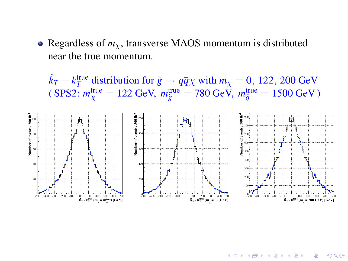• Regardless of  $m<sub>x</sub>$ , transverse MAOS momentum is distributed near the true momentum.

 $\tilde{k}_T - k_T^{\text{true}}$  distribution for  $\tilde{g} \to q\bar{q}\chi$  with  $m_\chi = 0$ , 122, 200 GeV  $($  SPS2:  $m_{\chi}^{\text{true}} = 122 \text{ GeV}, m_{\tilde{g}}^{\text{true}} = 780 \text{ GeV}, m_{\tilde{q}}^{\text{true}} = 1500 \text{ GeV})$ 



K ロ ▶ K @ ▶ K 할 > K 할 > 1 할 > 1 이익어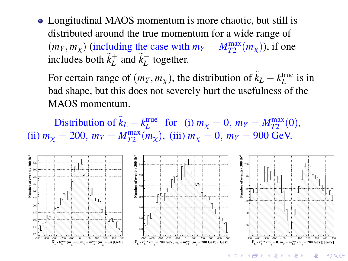Longitudinal MAOS momentum is more chaotic, but still is distributed around the true momentum for a wide range of  $(m_Y, m_\chi)$  (including the case with  $m_Y = M_{T2}^{\text{max}}(m_\chi)$ ), if one includes both  $\tilde{k}_L^+$  and  $\tilde{k}_L^-$  together.

For certain range of  $(m_Y, m_X)$ , the distribution of  $\tilde{k}_L - k_L^{\text{true}}$  is in bad shape, but this does not severely hurt the usefulness of the MAOS momentum.

Distribution of  $\tilde{k}_L - k_L^{\text{true}}$  for (i)  $m_\chi = 0$ ,  $m_Y = M_{T2}^{\text{max}}(0)$ , (ii)  $m_\chi = 200$ ,  $m_Y = M_{T2}^{\text{max}}(m_\chi)$ , (iii)  $m_\chi = 0$ ,  $m_Y = 900$  GeV.



KOD KAP KID KID KID KO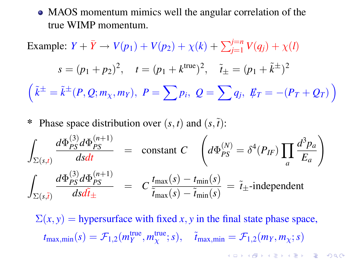MAOS momentum mimics well the angular correlation of the true WIMP momentum.

Example:  $Y + \bar{Y} \rightarrow V(p_1) + V(p_2) + \chi(k) + \sum_{j=1}^{j=n} V(q_j) + \chi(l)$ 

$$
s = (p_1 + p_2)^2, \quad t = (p_1 + k^{\text{true}})^2, \quad \tilde{t}_{\pm} = (p_1 + \tilde{k}^{\pm})^2
$$

$$
\left(\tilde{k}^{\pm} = \tilde{k}^{\pm}(P, Q; m_\chi, m_Y), \ P = \sum p_i, \ Q = \sum q_j, \ \not\!F_T = -(P_T + Q_T)\right)
$$

Phase space distribution over  $(s, t)$  and  $(s, t)$ :

$$
\int_{\Sigma(s,t)} \frac{d\Phi_{PS}^{(3)} d\Phi_{PS}^{(n+1)}}{dsdt} = \text{constant } C \quad \left( d\Phi_{PS}^{(N)} = \delta^4(P_{IF}) \prod_a \frac{d^3 p_a}{E_a} \right)
$$
\n
$$
\int_{\Sigma(s,\bar{t})} \frac{d\Phi_{PS}^{(3)} d\Phi_{PS}^{(n+1)}}{dsd\tilde{t}_{\pm}} = C \frac{t_{\text{max}}(s) - t_{\text{min}}(s)}{\tilde{t}_{\text{max}}(s) - \tilde{t}_{\text{min}}(s)} = \tilde{t}_{\pm} \text{-independent}
$$

 $\Sigma(x, y)$  = hypersurface with fixed *x*, *y* in the final state phase space,  $t_{\text{max,min}}(s) = \mathcal{F}_{1,2}(m_Y^{\text{true}}, m_\chi^{\text{true}}; s), \quad \tilde{t}_{\text{max,min}} = \mathcal{F}_{1,2}(m_Y, m_\chi; s)$ **A O A G A 4 D A D A D A G A G A 4 O A CA**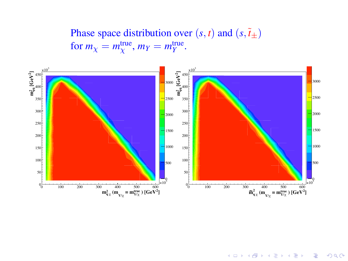Phase space distribution over  $(s, t)$  and  $(s, \tilde{t}_{\pm})$ for  $m_\chi = m_\chi^{\text{true}}$ ,  $m_Y = m_Y^{\text{true}}$ .



**K ロ ▶ K 伊 ▶ K ヨ ▶ K ヨ ▶**  $\Rightarrow$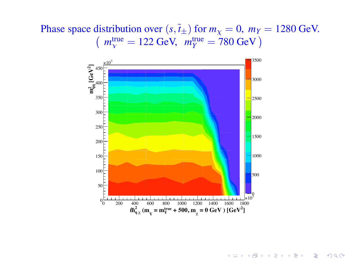Phase space distribution over  $(s, \tilde{t}_{\pm})$  for  $m_{\chi} = 0$ ,  $m_{\chi} = 1280$  GeV.  $\left(m_{\gamma}^{\text{true}} = 122 \text{ GeV}, m_{\gamma}^{\text{true}} = 780 \text{ GeV}\right)$ 



**KORK STRAIN A STRAIN A STRAIN**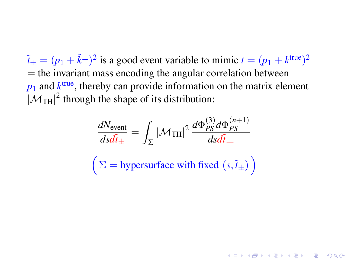$\tilde{t}_{\pm} = (p_1 + \tilde{k}^{\pm})^2$  is a good event variable to mimic  $t = (p_1 + k^{\text{true}})^2$  $=$  the invariant mass encoding the angular correlation between  $p_1$  and  $k^{\text{true}}$ , thereby can provide information on the matrix element  $|\mathcal{M}_{TH}|^2$  through the shape of its distribution:

$$
\frac{dN_{\text{event}}}{dsd\tilde{t}_{\pm}} = \int_{\Sigma} |\mathcal{M}_{\text{TH}}|^2 \frac{d\Phi_{PS}^{(3)} d\Phi_{PS}^{(n+1)}}{dsd\tilde{t}_{\pm}}
$$

$$
\left(\Sigma = \text{hypersurface with fixed } (s, \tilde{t}_{\pm})\right)
$$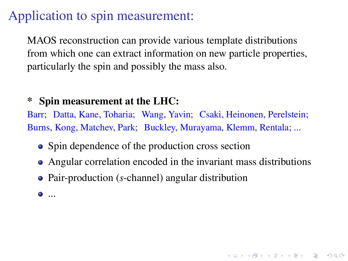# Application to spin measurement:

MAOS reconstruction can provide various template distributions from which one can extract information on new particle properties, particularly the spin and possibly the mass also.

#### Spin measurement at the LHC:

Barr; Datta, Kane, Toharia; Wang, Yavin; Csaki, Heinonen, Perelstein; Burns, Kong, Matchev, Park; Buckley, Murayama, Klemm, Rentala; ...

- Spin dependence of the production cross section
- Angular correlation encoded in the invariant mass distributions

**A O A G A 4 O A C A G A 4 O A 4 O A C A** 

- Pair-production (*s*-channel) angular distribution
- ...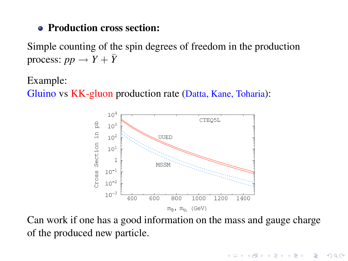#### **• Production cross section:**

Simple counting of the spin degrees of freedom in the production process:  $pp \rightarrow Y + \bar{Y}$ 

Example:

Gluino vs KK-gluon production rate (Datta, Kane, Toharia):



Can work if one has a good information on the mass and gauge charge of the produced new particle.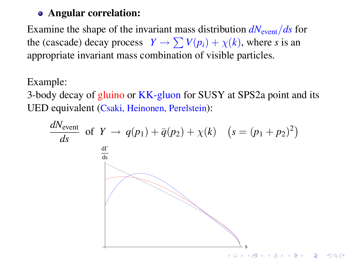#### Angular correlation:

Examine the shape of the invariant mass distribution  $dN_{\text{event}}/ds$  for the (cascade) decay process  $Y \to \sum V(p_i) + \chi(k)$ , where *s* is an appropriate invariant mass combination of visible particles.

Example:

3-body decay of gluino or KK-gluon for SUSY at SPS2a point and its UED equivalent (Csaki, Heinonen, Perelstein):

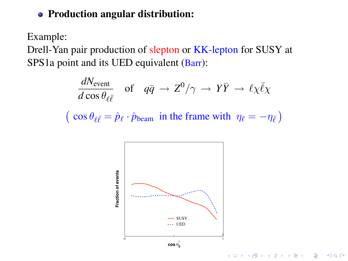#### • Production angular distribution:

Example:

Drell-Yan pair production of slepton or KK-lepton for SUSY at SPS1a point and its UED equivalent (Barr):

$$
\frac{dN_{\text{event}}}{d\cos\theta_{\ell\bar{\ell}}}
$$
 of  $q\bar{q} \to Z^0/\gamma \to Y\bar{Y} \to \ell\chi\bar{\ell}\chi$   
(  $\cos\theta_{\ell\bar{\ell}} = \hat{p}_{\ell} \cdot \hat{p}_{\text{beam}}$  in the frame with  $\eta_{\ell} = -\eta_{\bar{\ell}}$ )

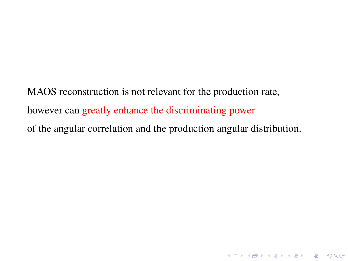MAOS reconstruction is not relevant for the production rate, however can greatly enhance the discriminating power of the angular correlation and the production angular distribution.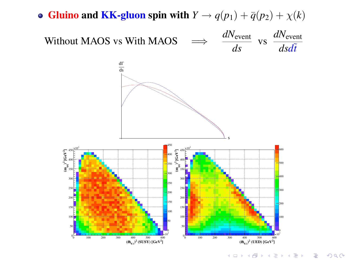

K ロ ▶ K @ ▶ K 할 > K 할 > 1 할 > 1 이익어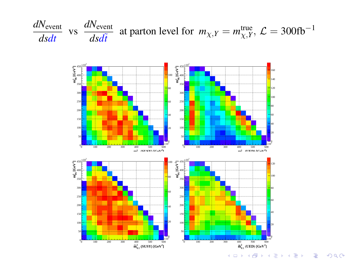

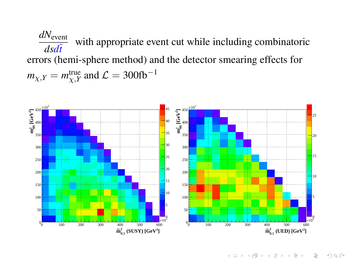*dN*event *dsd*˜*t* with appropriate event cut while including combinatoric errors (hemi-sphere method) and the detector smearing effects for  $m_{\chi,Y} = m_{\chi,Y}^{\text{true}}$  and  $\mathcal{L} = 300 \text{fb}^{-1}$ 



K ロ ▶ K @ ▶ K 할 ▶ K 할 ▶ . 할 | K 9 Q @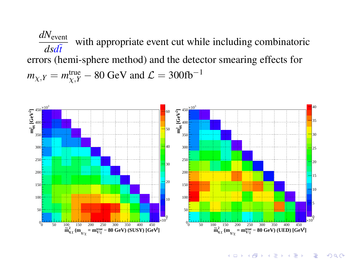*dN*event *dsd*˜*t* with appropriate event cut while including combinatoric errors (hemi-sphere method) and the detector smearing effects for  $m_{\chi, Y} = m_{\chi, Y}^{\text{true}} - 80 \text{ GeV}$  and  $\mathcal{L} = 300 \text{fb}^{-1}$ 



**KORKARYKERKE POLO**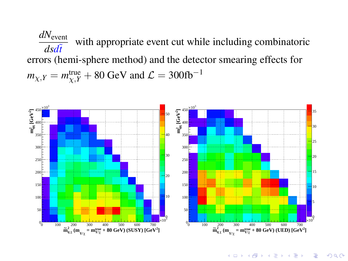*dN*event *dsd*˜*t* with appropriate event cut while including combinatoric errors (hemi-sphere method) and the detector smearing effects for  $m_{\chi, Y} = m_{\chi, Y}^{\text{true}} + 80 \text{ GeV}$  and  $\mathcal{L} = 300 \text{fb}^{-1}$ 



**KORKARYKERKE POLO**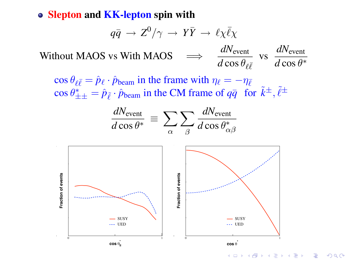• Slepton and KK-lepton spin with

$$
q\bar{q} \rightarrow Z^0/\gamma \rightarrow Y\bar{Y} \rightarrow \ell \chi \bar{\ell} \chi
$$

Without MAOS vs With MAOS *dN*event  $\frac{dN_{\text{event}}}{d\cos\theta_{\ell\bar{\ell}}}$  vs  $\frac{dN_{\text{event}}}{d\cos\theta}$  $d\cos\theta^*$ 

 $\cos \theta_{\ell \bar{\ell}} = \hat{p}_{\ell} \cdot \hat{p}_{\text{beam}}$  in the frame with  $\eta_{\ell} = -\eta_{\bar{\ell}}$  $\cos \theta_{\pm\pm}^* = \hat{p}_{\tilde{\ell}} \cdot \hat{p}_{\text{beam}}$  in the CM frame of  $q\bar{q}$  for  $\tilde{k}^{\pm}$ ,  $\tilde{\ell}^{\pm}$ 



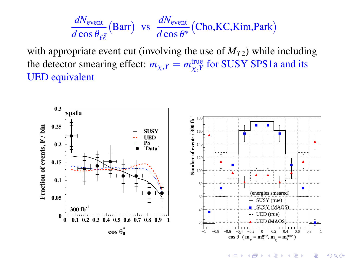$$
\frac{dN_{\text{event}}}{d\cos\theta_{\ell\bar{\ell}}} \text{(Barr)} \ \ \text{vs} \ \ \frac{dN_{\text{event}}}{d\cos\theta^*} \text{(Cho, KC, Kim, Park)}
$$

with appropriate event cut (involving the use of  $M_{T2}$ ) while including the detector smearing effect:  $m_{\chi,Y} = m_{\chi,Y}^{\text{true}}$  for SUSY SPS1a and its UED equivalent



**K ロ ▶ K 伊 ▶ K ヨ ▶ K ヨ ▶** ÷,  $2990$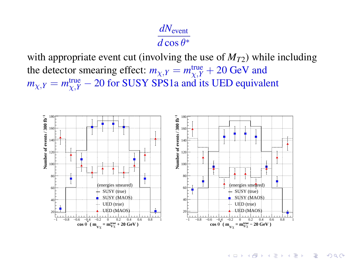### *dN*event  $d\cos\theta^*$

with appropriate event cut (involving the use of  $M_{T2}$ ) while including the detector smearing effect:  $m_{\chi, Y} = m_{\chi, Y}^{\text{true}} + 20 \text{ GeV}$  and  $m_{\chi,Y} = m_{\chi,Y}^{\text{true}} - 20$  for SUSY SPS1a and its UED equivalent



**KORKARYKERKER POLO**